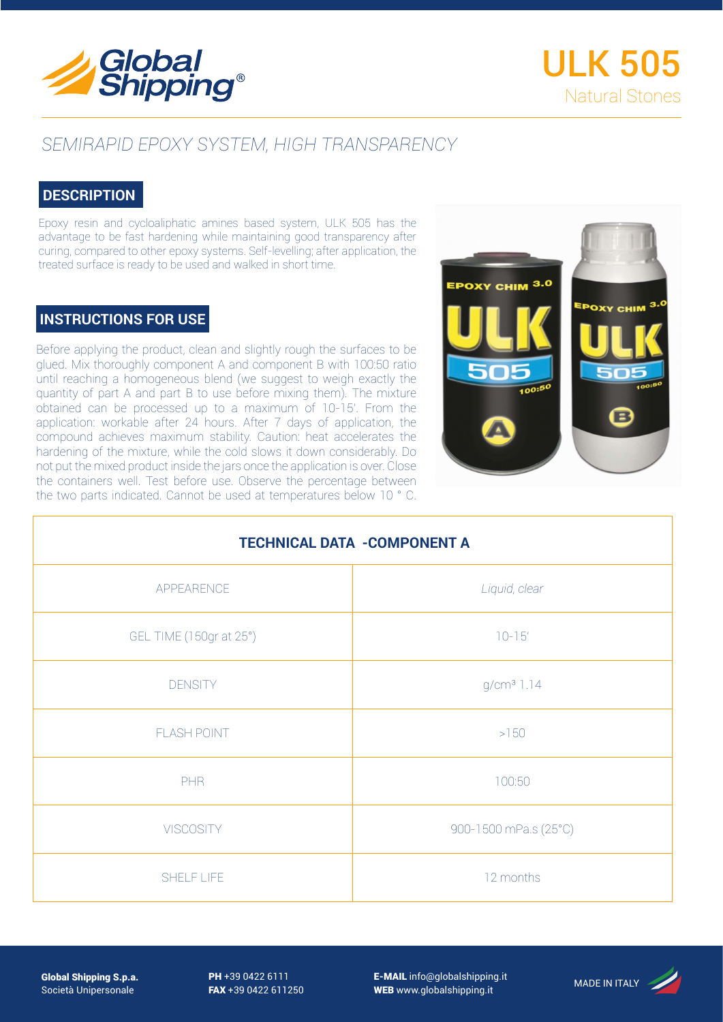

## *SEMIRAPID EPOXY SYSTEM, HIGH TRANSPARENCY*

## **DESCRIPTION**

Epoxy resin and cycloaliphatic amines based system, ULK 505 has the advantage to be fast hardening while maintaining good transparency after curing, compared to other epoxy systems. Self-levelling; after application, the treated surface is ready to be used and walked in short time.

## **INSTRUCTIONS FOR USE**

Before applying the product, clean and slightly rough the surfaces to be glued. Mix thoroughly component A and component B with 100:50 ratio until reaching a homogeneous blend (we suggest to weigh exactly the quantity of part A and part B to use before mixing them). The mixture obtained can be processed up to a maximum of 10-15'. From the application: workable after 24 hours. After 7 days of application, the compound achieves maximum stability. Caution: heat accelerates the hardening of the mixture, while the cold slows it down considerably. Do not put the mixed product inside the jars once the application is over. Close the containers well. Test before use. Observe the percentage between the two parts indicated. Cannot be used at temperatures below 10 ° C.



| <b>TECHNICAL DATA -COMPONENT A</b> |                        |
|------------------------------------|------------------------|
| APPEARENCE                         | Liquid, clear          |
| GEL TIME (150gr at 25°)            | $10 - 15'$             |
| <b>DENSITY</b>                     | g/cm <sup>3</sup> 1.14 |
| <b>FLASH POINT</b>                 | $>150$                 |
| <b>PHR</b>                         | 100:50                 |
| <b>VISCOSITY</b>                   | 900-1500 mPa.s (25°C)  |
| SHELF LIFE                         | 12 months              |

Global Shipping S.p.a. Società Unipersonale

PH +39 0422 6111 FAX +39 0422 611250 E-MAIL info@globalshipping.it E-MAIL info@globalshipping.it<br>WEB www.globalshipping.it MADE IN ITALY